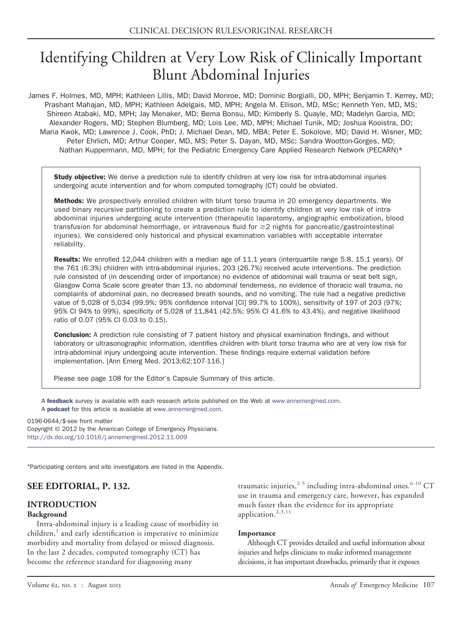# Identifying Children at Very Low Risk of Clinically Important Blunt Abdominal Injuries

James F. Holmes, MD, MPH; Kathleen Lillis, MD; David Monroe, MD; Dominic Borgialli, DO, MPH; Benjamin T. Kerrey, MD; Prashant Mahajan, MD, MPH; Kathleen Adelgais, MD, MPH; Angela M. Ellison, MD, MSc; Kenneth Yen, MD, MS; Shireen Atabaki, MD, MPH; Jay Menaker, MD; Bema Bonsu, MD; Kimberly S. Quayle, MD; Madelyn Garcia, MD; Alexander Rogers, MD; Stephen Blumberg, MD; Lois Lee, MD, MPH; Michael Tunik, MD; Joshua Kooistra, DO; Maria Kwok, MD; Lawrence J. Cook, PhD; J. Michael Dean, MD, MBA; Peter E. Sokolove, MD; David H. Wisner, MD; Peter Ehrlich, MD; Arthur Cooper, MD, MS; Peter S. Dayan, MD, MSc; Sandra Wootton-Gorges, MD; Nathan Kuppermann, MD, MPH; for the Pediatric Emergency Care Applied Research Network (PECARN)\*

Study objective: We derive a prediction rule to identify children at very low risk for intra-abdominal injuries undergoing acute intervention and for whom computed tomography (CT) could be obviated.

Methods: We prospectively enrolled children with blunt torso trauma in 20 emergency departments. We used binary recursive partitioning to create a prediction rule to identify children at very low risk of intraabdominal injuries undergoing acute intervention (therapeutic laparotomy, angiographic embolization, blood transfusion for abdominal hemorrhage, or intravenous fluid for  $\geq 2$  nights for pancreatic/gastrointestinal injuries). We considered only historical and physical examination variables with acceptable interrater reliability.

Results: We enrolled 12,044 children with a median age of 11.1 years (interquartile range 5.8, 15.1 years). Of the 761 (6.3%) children with intra-abdominal injuries, 203 (26.7%) received acute interventions. The prediction rule consisted of (in descending order of importance) no evidence of abdominal wall trauma or seat belt sign, Glasgow Coma Scale score greater than 13, no abdominal tenderness, no evidence of thoracic wall trauma, no complaints of abdominal pain, no decreased breath sounds, and no vomiting. The rule had a negative predictive value of 5,028 of 5,034 (99.9%; 95% confidence interval [CI] 99.7% to 100%), sensitivity of 197 of 203 (97%; 95% CI 94% to 99%), specificity of 5,028 of 11,841 (42.5%; 95% CI 41.6% to 43.4%), and negative likelihood ratio of 0.07 (95% CI 0.03 to 0.15).

**Conclusion:** A prediction rule consisting of 7 patient history and physical examination findings, and without laboratory or ultrasonographic information, identifies children with blunt torso trauma who are at very low risk for intra-abdominal injury undergoing acute intervention. These findings require external validation before implementation. [Ann Emerg Med. 2013;62:107-116.]

Please see page 108 for the Editor's Capsule Summary of this article.

A [feedback](http://www.surveymonkey.com/s/SK9X5BD) survey is available with each research article published on the Web at [www.annemergmed.com.](http://www.annemergmed.com) A **[podcast](http://annemergmed.com/content/podcast)** for this article is available at [www.annemergmed.com.](http://www.annemergmed.com)

#### 0196-0644/\$-see front matter

Copyright © 2012 by the American College of Emergency Physicians. <http://dx.doi.org/10.1016/j.annemergmed.2012.11.009>

\*Participating centers and site investigators are listed in the Appendix.

# **SEE EDITORIAL, P. 132.**

## **INTRODUCTION**

## **Background**

Intra-abdominal injury is a leading cause of morbidity in  $children<sub>1</sub><sup>1</sup>$  and early identification is imperative to minimize morbidity and mortality from delayed or missed diagnosis. In the last 2 decades, computed tomography (CT) has become the reference standard for diagnosing many

traumatic injuries,  $2-5$  including intra-abdominal ones.  $6-10$  CT use in trauma and emergency care, however, has expanded much faster than the evidence for its appropriate application. $2,3,11$ 

#### **Importance**

Although CT provides detailed and useful information about injuries and helps clinicians to make informed management decisions, it has important drawbacks, primarily that it exposes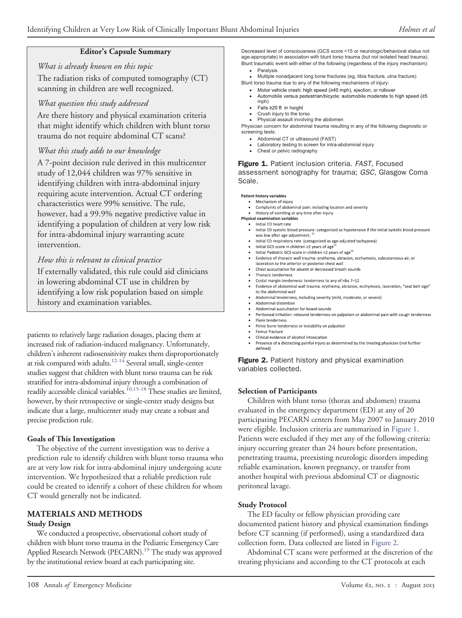## **Editor's Capsule Summary**

## *What is already known on this topic*

The radiation risks of computed tomography (CT) scanning in children are well recognized.

## *What question this study addressed*

Are there history and physical examination criteria that might identify which children with blunt torso trauma do not require abdominal CT scans?

## *What this study adds to our knowledge*

A 7-point decision rule derived in this multicenter study of 12,044 children was 97% sensitive in identifying children with intra-abdominal injury requiring acute intervention. Actual CT ordering characteristics were 99% sensitive. The rule, however, had a 99.9% negative predictive value in identifying a population of children at very low risk for intra-abdominal injury warranting acute intervention.

## *How this is relevant to clinical practice*

If externally validated, this rule could aid clinicians in lowering abdominal CT use in children by identifying a low risk population based on simple history and examination variables.

patients to relatively large radiation dosages, placing them at increased risk of radiation-induced malignancy. Unfortunately, children's inherent radiosensitivity makes them disproportionately at risk compared with adults.<sup>12-14</sup> Several small, single-center studies suggest that children with blunt torso trauma can be risk stratified for intra-abdominal injury through a combination of readily accessible clinical variables.<sup>10,15-18</sup> These studies are limited, however, by their retrospective or single-center study designs but indicate that a large, multicenter study may create a robust and precise prediction rule.

## **Goals of This Investigation**

The objective of the current investigation was to derive a prediction rule to identify children with blunt torso trauma who are at very low risk for intra-abdominal injury undergoing acute intervention. We hypothesized that a reliable prediction rule could be created to identify a cohort of these children for whom CT would generally not be indicated.

#### **MATERIALS AND METHODS Study Design**

We conducted a prospective, observational cohort study of children with blunt torso trauma in the Pediatric Emergency Care Applied Research Network (PECARN).<sup>19</sup> The study was approved by the institutional review board at each participating site.

- Multiple nonadjacent long bone fractures (eg, tibia fracture, ulna fracture)
- Blunt torso trauma due to any of the following mechanisms of injury:
	- Motor vehicle crash: high speed (≥40 mph), ejection, or rollover
	- Automobile versus pedestrian/bicycle: automobile moderate to high speed (≥5
	- mph)<br>Falls ≥20 ft in height
	- Crush injury to the torso
	- Physical assault involving the abdomen

Physician concern for abdominal trauma resulting in any of the following diagnostic or screening tests:

- Abdominal CT or ultrasound (FAST)
- Laboratory testing to screen for intra-abdominal injury
- Chest or pelvic radiography

#### Figure 1. Patient inclusion criteria. *FAST,* Focused assessment sonography for trauma; *GSC,* Glasgow Coma Scale.

#### **Patient history variables**

- · Mechanism of injury
- Complaints of abdominal pain: including location and severity History of vomiting at any time after injury
- **Physical examination variables**
- · Initial ED heart rate
- Initial ED systolic blood pressure: categorized as hypotensive if the initial systolic blood pressure was low after age adjustment.
- Initial ED respiratory rate (categorized as age-adjusted tachypnea)<br>Initial GCS score in children ≥2 years of age<sup>33</sup>
- 
- Initial Pediatric GCS score in children <2 years of age<sup>34</sup> Evidence of thoracic wall trauma: erythema, abrasion, ecchymosis, subcutaneous air, or laceration to the anterior or posterior chest wall
- Chest auscultation for absent or decreased breath sounds
- Thoracic tenderness
- Costal margin tenderness: tenderness to any of ribs 7-12
- Evidence of abdominal wall trauma: erythema, abrasion, ecchymosis, laceration, "seat belt sign" to the abdominal wall
- Abdominal tenderness, including severity (mild, moderate, or severe)
- Abdominal distention  $\bullet$
- Abdominal auscultation for bowel sounds Peritoneal irritation: rebound tenderness on palpation or abdominal pain with cough tenderness
- Flank tenderness
- Pelvic bone tenderness or instability on palpation
- Femur fracture • Clinical evidence of alcohol intoxication
- Presence of a distracting painful injury as determined by the treating physician (not further defined)

Figure 2. Patient history and physical examination variables collected.

## **Selection of Participants**

Children with blunt torso (thorax and abdomen) trauma evaluated in the emergency department (ED) at any of 20 participating PECARN centers from May 2007 to January 2010 were eligible. Inclusion criteria are summarized in Figure 1. Patients were excluded if they met any of the following criteria: injury occurring greater than 24 hours before presentation, penetrating trauma, preexisting neurologic disorders impeding reliable examination, known pregnancy, or transfer from another hospital with previous abdominal CT or diagnostic peritoneal lavage.

## **Study Protocol**

The ED faculty or fellow physician providing care documented patient history and physical examination findings before CT scanning (if performed), using a standardized data collection form. Data collected are listed in Figure 2.

Abdominal CT scans were performed at the discretion of the treating physicians and according to the CT protocols at each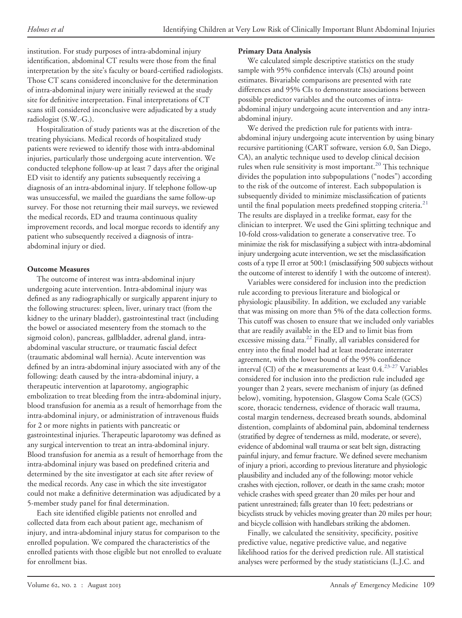institution. For study purposes of intra-abdominal injury identification, abdominal CT results were those from the final interpretation by the site's faculty or board-certified radiologists. Those CT scans considered inconclusive for the determination of intra-abdominal injury were initially reviewed at the study site for definitive interpretation. Final interpretations of CT scans still considered inconclusive were adjudicated by a study radiologist (S.W.-G.).

Hospitalization of study patients was at the discretion of the treating physicians. Medical records of hospitalized study patients were reviewed to identify those with intra-abdominal injuries, particularly those undergoing acute intervention. We conducted telephone follow-up at least 7 days after the original ED visit to identify any patients subsequently receiving a diagnosis of an intra-abdominal injury. If telephone follow-up was unsuccessful, we mailed the guardians the same follow-up survey. For those not returning their mail surveys, we reviewed the medical records, ED and trauma continuous quality improvement records, and local morgue records to identify any patient who subsequently received a diagnosis of intraabdominal injury or died.

## **Outcome Measures**

The outcome of interest was intra-abdominal injury undergoing acute intervention. Intra-abdominal injury was defined as any radiographically or surgically apparent injury to the following structures: spleen, liver, urinary tract (from the kidney to the urinary bladder), gastrointestinal tract (including the bowel or associated mesentery from the stomach to the sigmoid colon), pancreas, gallbladder, adrenal gland, intraabdominal vascular structure, or traumatic fascial defect (traumatic abdominal wall hernia). Acute intervention was defined by an intra-abdominal injury associated with any of the following: death caused by the intra-abdominal injury, a therapeutic intervention at laparotomy, angiographic embolization to treat bleeding from the intra-abdominal injury, blood transfusion for anemia as a result of hemorrhage from the intra-abdominal injury, or administration of intravenous fluids for 2 or more nights in patients with pancreatic or gastrointestinal injuries. Therapeutic laparotomy was defined as any surgical intervention to treat an intra-abdominal injury. Blood transfusion for anemia as a result of hemorrhage from the intra-abdominal injury was based on predefined criteria and determined by the site investigator at each site after review of the medical records. Any case in which the site investigator could not make a definitive determination was adjudicated by a 5-member study panel for final determination.

Each site identified eligible patients not enrolled and collected data from each about patient age, mechanism of injury, and intra-abdominal injury status for comparison to the enrolled population. We compared the characteristics of the enrolled patients with those eligible but not enrolled to evaluate for enrollment bias.

## **Primary Data Analysis**

We calculated simple descriptive statistics on the study sample with 95% confidence intervals (CIs) around point estimates. Bivariable comparisons are presented with rate differences and 95% CIs to demonstrate associations between possible predictor variables and the outcomes of intraabdominal injury undergoing acute intervention and any intraabdominal injury.

We derived the prediction rule for patients with intraabdominal injury undergoing acute intervention by using binary recursive partitioning (CART software, version 6.0, San Diego, CA), an analytic technique used to develop clinical decision rules when rule sensitivity is most important.<sup>20</sup> This technique divides the population into subpopulations ("nodes") according to the risk of the outcome of interest. Each subpopulation is subsequently divided to minimize misclassification of patients until the final population meets predefined stopping criteria. $^{21}$ The results are displayed in a treelike format, easy for the clinician to interpret. We used the Gini splitting technique and 10-fold cross-validation to generate a conservative tree. To minimize the risk for misclassifying a subject with intra-abdominal injury undergoing acute intervention, we set the misclassification costs of a type II error at 500:1 (misclassifying 500 subjects without the outcome of interest to identify 1 with the outcome of interest).

Variables were considered for inclusion into the prediction rule according to previous literature and biological or physiologic plausibility. In addition, we excluded any variable that was missing on more than 5% of the data collection forms. This cutoff was chosen to ensure that we included only variables that are readily available in the ED and to limit bias from excessive missing data.<sup>22</sup> Finally, all variables considered for entry into the final model had at least moderate interrater agreement, with the lower bound of the 95% confidence interval (CI) of the  $\kappa$  measurements at least 0.4.<sup>23-27</sup> Variables considered for inclusion into the prediction rule included age younger than 2 years, severe mechanism of injury (as defined below), vomiting, hypotension, Glasgow Coma Scale (GCS) score, thoracic tenderness, evidence of thoracic wall trauma, costal margin tenderness, decreased breath sounds, abdominal distention, complaints of abdominal pain, abdominal tenderness (stratified by degree of tenderness as mild, moderate, or severe), evidence of abdominal wall trauma or seat belt sign, distracting painful injury, and femur fracture. We defined severe mechanism of injury a priori, according to previous literature and physiologic plausibility and included any of the following: motor vehicle crashes with ejection, rollover, or death in the same crash; motor vehicle crashes with speed greater than 20 miles per hour and patient unrestrained; falls greater than 10 feet; pedestrians or bicyclists struck by vehicles moving greater than 20 miles per hour; and bicycle collision with handlebars striking the abdomen.

Finally, we calculated the sensitivity, specificity, positive predictive value, negative predictive value, and negative likelihood ratios for the derived prediction rule. All statistical analyses were performed by the study statisticians (L.J.C. and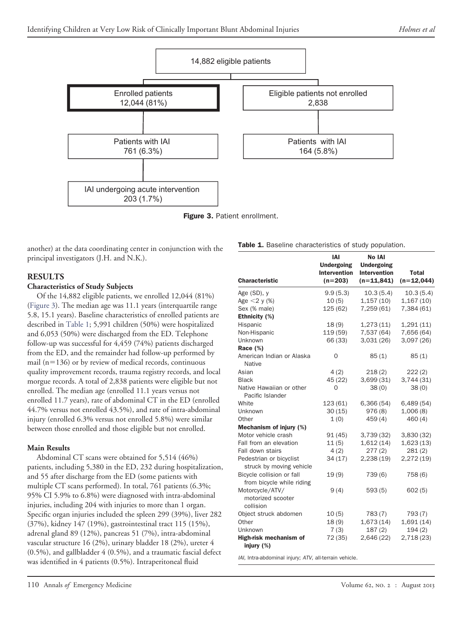

Figure 3. Patient enrollment.

another) at the data coordinating center in conjunction with the principal investigators (J.H. and N.K.).

## **RESULTS**

## **Characteristics of Study Subjects**

Of the 14,882 eligible patients, we enrolled 12,044 (81%) (Figure 3). The median age was 11.1 years (interquartile range 5.8, 15.1 years). Baseline characteristics of enrolled patients are described in Table 1; 5,991 children (50%) were hospitalized and 6,053 (50%) were discharged from the ED. Telephone follow-up was successful for 4,459 (74%) patients discharged from the ED, and the remainder had follow-up performed by mail ( $n=136$ ) or by review of medical records, continuous quality improvement records, trauma registry records, and local morgue records. A total of 2,838 patients were eligible but not enrolled. The median age (enrolled 11.1 years versus not enrolled 11.7 years), rate of abdominal CT in the ED (enrolled 44.7% versus not enrolled 43.5%), and rate of intra-abdominal injury (enrolled 6.3% versus not enrolled 5.8%) were similar between those enrolled and those eligible but not enrolled.

## **Main Results**

Abdominal CT scans were obtained for 5,514 (46%) patients, including 5,380 in the ED, 232 during hospitalization, and 55 after discharge from the ED (some patients with multiple CT scans performed). In total, 761 patients (6.3%; 95% CI 5.9% to 6.8%) were diagnosed with intra-abdominal injuries, including 204 with injuries to more than 1 organ. Specific organ injuries included the spleen 299 (39%), liver 282 (37%), kidney 147 (19%), gastrointestinal tract 115 (15%), adrenal gland 89 (12%), pancreas 51 (7%), intra-abdominal vascular structure 16 (2%), urinary bladder 18 (2%), ureter 4 (0.5%), and gallbladder 4 (0.5%), and a traumatic fascial defect was identified in 4 patients (0.5%). Intraperitoneal fluid

Table 1. Baseline characteristics of study population.

| IAI<br><b>Undergoing</b><br><b>Intervention</b><br>$(n=203)$ | No IAI<br><b>Undergoing</b><br><b>Intervention</b><br>$(n=11,841)$ | Total<br>$(n=12,044)$ |
|--------------------------------------------------------------|--------------------------------------------------------------------|-----------------------|
| 9.9(5.3)                                                     | 10.3(5.4)                                                          | 10.3(5.4)             |
| 10(5)                                                        | 1,157(10)                                                          | 1,167(10)             |
| 125 (62)                                                     | 7,259(61)                                                          | 7,384 (61)            |
|                                                              |                                                                    |                       |
| 18(9)                                                        | 1,273(11)                                                          | 1,291(11)             |
| 119 (59)                                                     | 7,537 (64)                                                         | 7,656 (64)            |
| 66 (33)                                                      | 3,031(26)                                                          | 3,097 (26)            |
|                                                              |                                                                    |                       |
| 0                                                            | 85(1)                                                              | 85(1)                 |
| 4(2)                                                         | 218(2)                                                             | 222(2)                |
| 45 (22)                                                      | 3,699(31)                                                          | 3,744 (31)            |
| 0                                                            | 38(0)                                                              | 38(0)                 |
| 123 (61)                                                     | 6,366(54)                                                          | 6,489(54)             |
| 30(15)                                                       | 976(8)                                                             | 1,006(8)              |
| 1(0)                                                         | 459(4)                                                             | 460(4)                |
|                                                              |                                                                    |                       |
| 91 (45)                                                      | 3,739(32)                                                          | 3,830 (32)            |
| 11(5)                                                        | 1,612(14)                                                          | 1,623 (13)            |
| 4(2)                                                         |                                                                    | 281(2)                |
| 34(17)                                                       | 2,238(19)                                                          | 2,272 (19)            |
| 19(9)                                                        | 739(6)                                                             | 758 (6)               |
| 9(4)                                                         | 593(5)                                                             | 602(5)                |
| 10(5)                                                        | 783(7)                                                             | 793(7)                |
| 18(9)                                                        | 1,673(14)                                                          | 1,691(14)             |
| 7(3)                                                         | 187(2)                                                             | 194(2)                |
| 72 (35)                                                      | 2,646 (22)                                                         | 2,718 (23)            |
|                                                              |                                                                    | 277(2)                |

*IAI,* Intra-abdominal injury; *ATV,* all-terrain vehicle.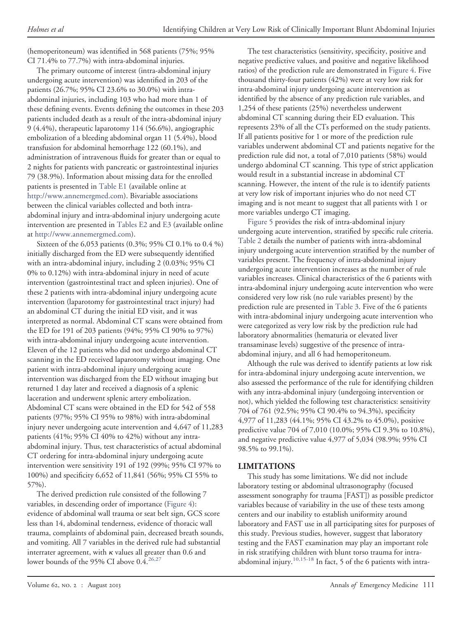(hemoperitoneum) was identified in 568 patients (75%; 95% CI 71.4% to 77.7%) with intra-abdominal injuries.

The primary outcome of interest (intra-abdominal injury undergoing acute intervention) was identified in 203 of the patients (26.7%; 95% CI 23.6% to 30.0%) with intraabdominal injuries, including 103 who had more than 1 of these defining events. Events defining the outcomes in these 203 patients included death as a result of the intra-abdominal injury 9 (4.4%), therapeutic laparotomy 114 (56.6%), angiographic embolization of a bleeding abdominal organ 11 (5.4%), blood transfusion for abdominal hemorrhage 122 (60.1%), and administration of intravenous fluids for greater than or equal to 2 nights for patients with pancreatic or gastrointestinal injuries 79 (38.9%). Information about missing data for the enrolled patients is presented in Table E1 (available online at [http://www.annemergmed.com\)](http://www.annemergmed.com). Bivariable associations between the clinical variables collected and both intraabdominal injury and intra-abdominal injury undergoing acute intervention are presented in Tables E2 and E3 (available online at [http://www.annemergmed.com\)](http://www.annemergmed.com).

Sixteen of the 6,053 patients (0.3%; 95% CI 0.1% to 0.4 %) initially discharged from the ED were subsequently identified with an intra-abdominal injury, including 2 (0.03%; 95% CI 0% to 0.12%) with intra-abdominal injury in need of acute intervention (gastrointestinal tract and spleen injuries). One of these 2 patients with intra-abdominal injury undergoing acute intervention (laparotomy for gastrointestinal tract injury) had an abdominal CT during the initial ED visit, and it was interpreted as normal. Abdominal CT scans were obtained from the ED for 191 of 203 patients (94%; 95% CI 90% to 97%) with intra-abdominal injury undergoing acute intervention. Eleven of the 12 patients who did not undergo abdominal CT scanning in the ED received laparotomy without imaging. One patient with intra-abdominal injury undergoing acute intervention was discharged from the ED without imaging but returned 1 day later and received a diagnosis of a splenic laceration and underwent splenic artery embolization. Abdominal CT scans were obtained in the ED for 542 of 558 patients (97%; 95% CI 95% to 98%) with intra-abdominal injury never undergoing acute intervention and 4,647 of 11,283 patients (41%; 95% CI 40% to 42%) without any intraabdominal injury. Thus, test characteristics of actual abdominal CT ordering for intra-abdominal injury undergoing acute intervention were sensitivity 191 of 192 (99%; 95% CI 97% to 100%) and specificity 6,652 of 11,841 (56%; 95% CI 55% to 57%).

The derived prediction rule consisted of the following 7 variables, in descending order of importance (Figure 4): evidence of abdominal wall trauma or seat belt sign, GCS score less than 14, abdominal tenderness, evidence of thoracic wall trauma, complaints of abdominal pain, decreased breath sounds, and vomiting. All 7 variables in the derived rule had substantial interrater agreement, with  $\kappa$  values all greater than 0.6 and lower bounds of the 95% CI above  $0.4.^{26,27}$ 

The test characteristics (sensitivity, specificity, positive and negative predictive values, and positive and negative likelihood ratios) of the prediction rule are demonstrated in Figure 4. Five thousand thirty-four patients (42%) were at very low risk for intra-abdominal injury undergoing acute intervention as identified by the absence of any prediction rule variables, and 1,254 of these patients (25%) nevertheless underwent abdominal CT scanning during their ED evaluation. This represents 23% of all the CTs performed on the study patients. If all patients positive for 1 or more of the prediction rule variables underwent abdominal CT and patients negative for the prediction rule did not, a total of 7,010 patients (58%) would undergo abdominal CT scanning. This type of strict application would result in a substantial increase in abdominal CT scanning. However, the intent of the rule is to identify patients at very low risk of important injuries who do not need CT imaging and is not meant to suggest that all patients with 1 or more variables undergo CT imaging.

Figure 5 provides the risk of intra-abdominal injury undergoing acute intervention, stratified by specific rule criteria. Table 2 details the number of patients with intra-abdominal injury undergoing acute intervention stratified by the number of variables present. The frequency of intra-abdominal injury undergoing acute intervention increases as the number of rule variables increases. Clinical characteristics of the 6 patients with intra-abdominal injury undergoing acute intervention who were considered very low risk (no rule variables present) by the prediction rule are presented in Table 3. Five of the 6 patients with intra-abdominal injury undergoing acute intervention who were categorized as very low risk by the prediction rule had laboratory abnormalities (hematuria or elevated liver transaminase levels) suggestive of the presence of intraabdominal injury, and all 6 had hemoperitoneum.

Although the rule was derived to identify patients at low risk for intra-abdominal injury undergoing acute intervention, we also assessed the performance of the rule for identifying children with any intra-abdominal injury (undergoing intervention or not), which yielded the following test characteristics: sensitivity 704 of 761 (92.5%; 95% CI 90.4% to 94.3%), specificity 4,977 of 11,283 (44.1%; 95% CI 43.2% to 45.0%), positive predictive value 704 of 7,010 (10.0%; 95% CI 9.3% to 10.8%), and negative predictive value 4,977 of 5,034 (98.9%; 95% CI 98.5% to 99.1%).

## **LIMITATIONS**

This study has some limitations. We did not include laboratory testing or abdominal ultrasonography (focused assessment sonography for trauma [FAST]) as possible predictor variables because of variability in the use of these tests among centers and our inability to establish uniformity around laboratory and FAST use in all participating sites for purposes of this study. Previous studies, however, suggest that laboratory testing and the FAST examination may play an important role in risk stratifying children with blunt torso trauma for intraabdominal injury.<sup>10,15-18</sup> In fact, 5 of the 6 patients with intra-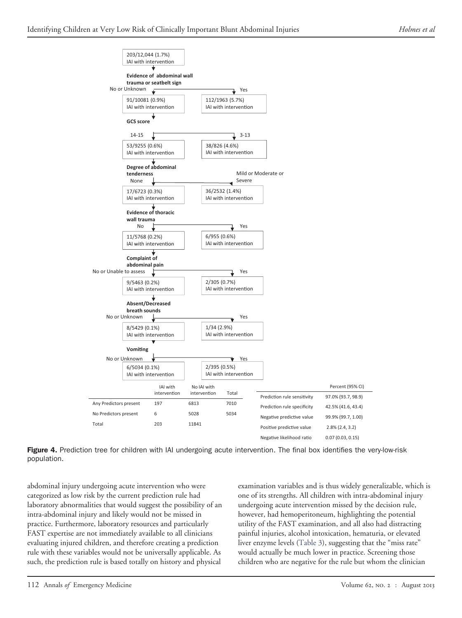

Figure 4. Prediction tree for children with IAI undergoing acute intervention. The final box identifies the very-low-risk population.

abdominal injury undergoing acute intervention who were categorized as low risk by the current prediction rule had laboratory abnormalities that would suggest the possibility of an intra-abdominal injury and likely would not be missed in practice. Furthermore, laboratory resources and particularly FAST expertise are not immediately available to all clinicians evaluating injured children, and therefore creating a prediction rule with these variables would not be universally applicable. As such, the prediction rule is based totally on history and physical

examination variables and is thus widely generalizable, which is one of its strengths. All children with intra-abdominal injury undergoing acute intervention missed by the decision rule, however, had hemoperitoneum, highlighting the potential utility of the FAST examination, and all also had distracting painful injuries, alcohol intoxication, hematuria, or elevated liver enzyme levels (Table 3), suggesting that the "miss rate" would actually be much lower in practice. Screening those children who are negative for the rule but whom the clinician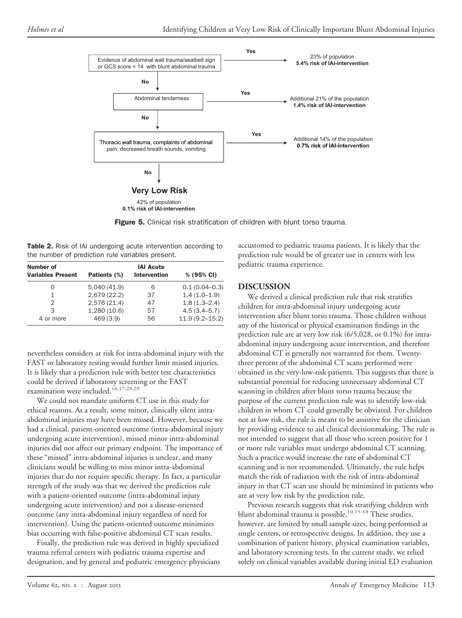

Figure 5. Clinical risk stratification of children with blunt torso trauma.

Table 2. Risk of IAI undergoing acute intervention according to the number of prediction rule variables present.

| Number of                |              | <b>IAI Acute</b>    |                    |
|--------------------------|--------------|---------------------|--------------------|
| <b>Variables Present</b> | Patients (%) | <b>Intervention</b> | % (95% CI)         |
|                          | 5,040(41.9)  | 6                   | $0.1(0.04 - 0.3)$  |
|                          | 2,679(22.2)  | 37                  | $1.4(1.0-1.9)$     |
| $\mathcal{P}$            | 2,576(21.4)  | 47                  | $1.8(1.3 - 2.4)$   |
| 3                        | 1,280(10.6)  | 57                  | $4.5(3.4 - 5.7)$   |
| 4 or more                | 469(3.9)     | 56                  | $11.9(9.2 - 15.2)$ |

nevertheless considers at risk for intra-abdominal injury with the FAST or laboratory testing would further limit missed injuries. It is likely that a prediction rule with better test characteristics could be derived if laboratory screening or the FAST examination were included.<sup>16,17,28,29</sup>

We could not mandate uniform CT use in this study for ethical reasons. As a result, some minor, clinically silent intraabdominal injuries may have been missed. However, because we had a clinical, patient-oriented outcome (intra-abdominal injury undergoing acute intervention), missed minor intra-abdominal injuries did not affect our primary endpoint. The importance of these "missed" intra-abdominal injuries is unclear, and many clinicians would be willing to miss minor intra-abdominal injuries that do not require specific therapy. In fact, a particular strength of the study was that we derived the prediction rule with a patient-oriented outcome (intra-abdominal injury undergoing acute intervention) and not a disease-oriented outcome (any intra-abdominal injury regardless of need for intervention). Using the patient-oriented outcome minimizes bias occurring with false-positive abdominal CT scan results.

Finally, the prediction rule was derived in highly specialized trauma referral centers with pediatric trauma expertise and designation, and by general and pediatric emergency physicians accustomed to pediatric trauma patients. It is likely that the prediction rule would be of greater use in centers with less pediatric trauma experience.

## **DISCUSSION**

We derived a clinical prediction rule that risk stratifies children for intra-abdominal injury undergoing acute intervention after blunt torso trauma. Those children without any of the historical or physical examination findings in the prediction rule are at very low risk (6/5,028, or 0.1%) for intraabdominal injury undergoing acute intervention, and therefore abdominal CT is generally not warranted for them. Twentythree percent of the abdominal CT scans performed were obtained in the very-low-risk patients. This suggests that there is substantial potential for reducing unnecessary abdominal CT scanning in children after blunt torso trauma because the purpose of the current prediction rule was to identify low-risk children in whom CT could generally be obviated. For children not at low risk, the rule is meant to be assistive for the clinician by providing evidence to aid clinical decisionmaking. The rule is not intended to suggest that all those who screen positive for 1 or more rule variables must undergo abdominal CT scanning. Such a practice would increase the rate of abdominal CT scanning and is not recommended. Ultimately, the rule helps match the risk of radiation with the risk of intra-abdominal injury in that CT scan use should be minimized in patients who are at very low risk by the prediction rule.

Previous research suggests that risk stratifying children with blunt abdominal trauma is possible.<sup>10,15-18</sup> These studies, however, are limited by small sample sizes, being performed at single centers, or retrospective designs. In addition, they use a combination of patient history, physical examination variables, and laboratory screening tests. In the current study, we relied solely on clinical variables available during initial ED evaluation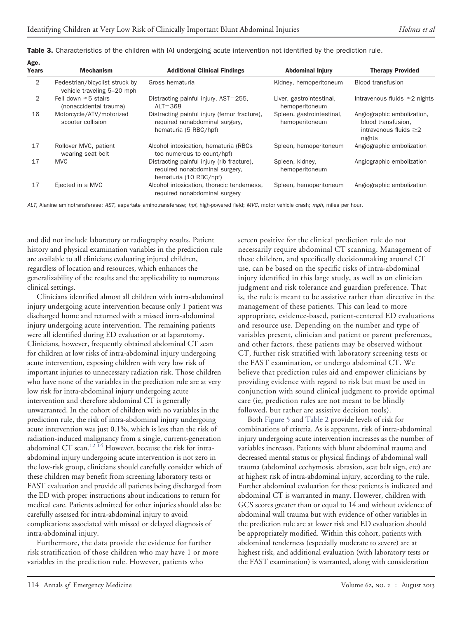| Age,<br>Years | <b>Mechanism</b>                                             | <b>Additional Clinical Findings</b>                                                                     | <b>Abdominal Injury</b>                     | <b>Therapy Provided</b>                                                                   |  |
|---------------|--------------------------------------------------------------|---------------------------------------------------------------------------------------------------------|---------------------------------------------|-------------------------------------------------------------------------------------------|--|
| 2             | Pedestrian/bicyclist struck by<br>vehicle traveling 5-20 mph | Gross hematuria                                                                                         | Kidney, hemoperitoneum                      | <b>Blood transfusion</b>                                                                  |  |
| 2             | Fell down $\leq$ 5 stairs<br>(nonaccidental trauma)          | Distracting painful injury, $AST = 255$ ,<br>$ALT = 368$                                                | Liver, gastrointestinal,<br>hemoperitoneum  | Intravenous fluids $\geq$ nights                                                          |  |
| 16            | Motorcycle/ATV/motorized<br>scooter collision                | Distracting painful injury (femur fracture),<br>required nonabdominal surgery,<br>hematuria (5 RBC/hpf) | Spleen, gastrointestinal,<br>hemoperitoneum | Angiographic embolization,<br>blood transfusion,<br>intravenous fluids $\geq$ 2<br>nights |  |
| 17            | Rollover MVC, patient<br>wearing seat belt                   | Alcohol intoxication, hematuria (RBCs)<br>too numerous to count/hpf)                                    | Spleen, hemoperitoneum                      | Angiographic embolization                                                                 |  |
| 17            | <b>MVC</b>                                                   | Distracting painful injury (rib fracture),<br>required nonabdominal surgery,<br>hematuria (10 RBC/hpf)  | Spleen, kidney,<br>hemoperitoneum           | Angiographic embolization                                                                 |  |
| 17            | Ejected in a MVC                                             | Alcohol intoxication, thoracic tenderness,<br>required nonabdominal surgery                             | Spleen, hemoperitoneum                      | Angiographic embolization                                                                 |  |

| Table 3. Characteristics of the children with IAI undergoing acute intervention not identified by the prediction rule. |  |  |  |  |  |
|------------------------------------------------------------------------------------------------------------------------|--|--|--|--|--|
|                                                                                                                        |  |  |  |  |  |

*ALT,* Alanine aminotransferase; *AST,* aspartate aminotransferase; *hpf,* high-powered field; *MVC,* motor vehicle crash; *mph,* miles per hour.

and did not include laboratory or radiography results. Patient history and physical examination variables in the prediction rule are available to all clinicians evaluating injured children, regardless of location and resources, which enhances the generalizability of the results and the applicability to numerous clinical settings.

Clinicians identified almost all children with intra-abdominal injury undergoing acute intervention because only 1 patient was discharged home and returned with a missed intra-abdominal injury undergoing acute intervention. The remaining patients were all identified during ED evaluation or at laparotomy. Clinicians, however, frequently obtained abdominal CT scan for children at low risks of intra-abdominal injury undergoing acute intervention, exposing children with very low risk of important injuries to unnecessary radiation risk. Those children who have none of the variables in the prediction rule are at very low risk for intra-abdominal injury undergoing acute intervention and therefore abdominal CT is generally unwarranted. In the cohort of children with no variables in the prediction rule, the risk of intra-abdominal injury undergoing acute intervention was just 0.1%, which is less than the risk of radiation-induced malignancy from a single, current-generation abdominal CT scan.<sup>12-14</sup> However, because the risk for intraabdominal injury undergoing acute intervention is not zero in the low-risk group, clinicians should carefully consider which of these children may benefit from screening laboratory tests or FAST evaluation and provide all patients being discharged from the ED with proper instructions about indications to return for medical care. Patients admitted for other injuries should also be carefully assessed for intra-abdominal injury to avoid complications associated with missed or delayed diagnosis of intra-abdominal injury.

Furthermore, the data provide the evidence for further risk stratification of those children who may have 1 or more variables in the prediction rule. However, patients who

screen positive for the clinical prediction rule do not necessarily require abdominal CT scanning. Management of these children, and specifically decisionmaking around CT use, can be based on the specific risks of intra-abdominal injury identified in this large study, as well as on clinician judgment and risk tolerance and guardian preference. That is, the rule is meant to be assistive rather than directive in the management of these patients. This can lead to more appropriate, evidence-based, patient-centered ED evaluations and resource use. Depending on the number and type of variables present, clinician and patient or parent preferences, and other factors, these patients may be observed without CT, further risk stratified with laboratory screening tests or the FAST examination, or undergo abdominal CT. We believe that prediction rules aid and empower clinicians by providing evidence with regard to risk but must be used in conjunction with sound clinical judgment to provide optimal care (ie, prediction rules are not meant to be blindly followed, but rather are assistive decision tools).

Both Figure 5 and Table 2 provide levels of risk for combinations of criteria. As is apparent, risk of intra-abdominal injury undergoing acute intervention increases as the number of variables increases. Patients with blunt abdominal trauma and decreased mental status or physical findings of abdominal wall trauma (abdominal ecchymosis, abrasion, seat belt sign, etc) are at highest risk of intra-abdominal injury, according to the rule. Further abdominal evaluation for these patients is indicated and abdominal CT is warranted in many. However, children with GCS scores greater than or equal to 14 and without evidence of abdominal wall trauma but with evidence of other variables in the prediction rule are at lower risk and ED evaluation should be appropriately modified. Within this cohort, patients with abdominal tenderness (especially moderate to severe) are at highest risk, and additional evaluation (with laboratory tests or the FAST examination) is warranted, along with consideration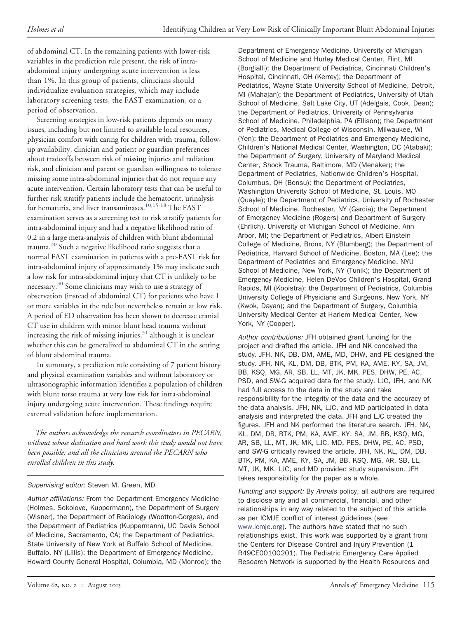of abdominal CT. In the remaining patients with lower-risk variables in the prediction rule present, the risk of intraabdominal injury undergoing acute intervention is less than 1%. In this group of patients, clinicians should individualize evaluation strategies, which may include laboratory screening tests, the FAST examination, or a period of observation.

Screening strategies in low-risk patients depends on many issues, including but not limited to available local resources, physician comfort with caring for children with trauma, followup availability, clinician and patient or guardian preferences about tradeoffs between risk of missing injuries and radiation risk, and clinician and parent or guardian willingness to tolerate missing some intra-abdominal injuries that do not require any acute intervention. Certain laboratory tests that can be useful to further risk stratify patients include the hematocrit, urinalysis for hematuria, and liver transaminases.<sup>10,15-18</sup> The FAST examination serves as a screening test to risk stratify patients for intra-abdominal injury and had a negative likelihood ratio of 0.2 in a large meta-analysis of children with blunt abdominal trauma.<sup>30</sup> Such a negative likelihood ratio suggests that a normal FAST examination in patients with a pre-FAST risk for intra-abdominal injury of approximately 1% may indicate such a low risk for intra-abdominal injury that CT is unlikely to be necessary.<sup>30</sup> Some clinicians may wish to use a strategy of observation (instead of abdominal CT) for patients who have 1 or more variables in the rule but nevertheless remain at low risk. A period of ED observation has been shown to decrease cranial CT use in children with minor blunt head trauma without increasing the risk of missing injuries, $31$  although it is unclear whether this can be generalized to abdominal CT in the setting of blunt abdominal trauma.

In summary, a prediction rule consisting of 7 patient history and physical examination variables and without laboratory or ultrasonographic information identifies a population of children with blunt torso trauma at very low risk for intra-abdominal injury undergoing acute intervention. These findings require external validation before implementation.

*The authors acknowledge the research coordinators in PECARN, without whose dedication and hard work this study would not have been possible; and all the clinicians around the PECARN who enrolled children in this study.*

## *Supervising editor:* Steven M. Green, MD

*Author affiliations:* From the Department Emergency Medicine (Holmes, Sokolove, Kuppermann), the Department of Surgery (Wisner), the Department of Radiology (Wootton-Gorges), and the Department of Pediatrics (Kuppermann), UC Davis School of Medicine, Sacramento, CA; the Department of Pediatrics, State University of New York at Buffalo School of Medicine, Buffalo, NY (Lillis); the Department of Emergency Medicine, Howard County General Hospital, Columbia, MD (Monroe); the

Department of Emergency Medicine, University of Michigan School of Medicine and Hurley Medical Center, Flint, MI (Borgialli); the Department of Pediatrics, Cincinnati Children's Hospital, Cincinnati, OH (Kerrey); the Department of Pediatrics, Wayne State University School of Medicine, Detroit, MI (Mahajan); the Department of Pediatrics, University of Utah School of Medicine, Salt Lake City, UT (Adelgais, Cook, Dean); the Department of Pediatrics, University of Pennsylvania School of Medicine, Philadelphia, PA (Ellison); the Department of Pediatrics, Medical College of Wisconsin, Milwaukee, WI (Yen); the Department of Pediatrics and Emergency Medicine, Children's National Medical Center, Washington, DC (Atabaki); the Department of Surgery, University of Maryland Medical Center, Shock Trauma, Baltimore, MD (Menaker); the Department of Pediatrics, Nationwide Children's Hospital, Columbus, OH (Bonsu); the Department of Pediatrics, Washington University School of Medicine, St. Louis, MO (Quayle); the Department of Pediatrics, University of Rochester School of Medicine, Rochester, NY (Garcia); the Department of Emergency Medicine (Rogers) and Department of Surgery (Ehrlich), University of Michigan School of Medicine, Ann Arbor, MI; the Department of Pediatrics, Albert Einstein College of Medicine, Bronx, NY (Blumberg); the Department of Pediatrics, Harvard School of Medicine, Boston, MA (Lee); the Department of Pediatrics and Emergency Medicine, NYU School of Medicine, New York, NY (Tunik); the Department of Emergency Medicine, Helen DeVos Children's Hospital, Grand Rapids, MI (Kooistra); the Department of Pediatrics, Columbia University College of Physicians and Surgeons, New York, NY (Kwok, Dayan); and the Department of Surgery, Columbia University Medical Center at Harlem Medical Center, New York, NY (Cooper).

*Author contributions:* JFH obtained grant funding for the project and drafted the article. JFH and NK conceived the study. JFH, NK, DB, DM, AME, MD, DHW, and PE designed the study. JFH, NK, KL, DM, DB, BTK, PM, KA, AME, KY, SA, JM, BB, KSQ, MG, AR, SB, LL, MT, JK, MK, PES, DHW, PE, AC, PSD, and SW-G acquired data for the study. LJC, JFH, and NK had full access to the data in the study and take responsibility for the integrity of the data and the accuracy of the data analysis. JFH, NK, LJC, and MD participated in data analysis and interpreted the data. JFH and LJC created the figures. JFH and NK performed the literature search. JFH, NK, KL, DM, DB, BTK, PM, KA, AME, KY, SA, JM, BB, KSQ, MG, AR, SB, LL, MT, JK, MK, LJC, MD, PES, DHW, PE, AC, PSD, and SW-G critically revised the article. JFH, NK, KL, DM, DB, BTK, PM, KA, AME, KY, SA, JM, BB, KSQ, MG, AR, SB, LL, MT, JK, MK, LJC, and MD provided study supervision. JFH takes responsibility for the paper as a whole.

*Funding and support:* By *Annals* policy, all authors are required to disclose any and all commercial, financial, and other relationships in any way related to the subject of this article as per ICMJE conflict of interest guidelines (see [www.icmje.org\)](http://www.icmje.org). The authors have stated that no such relationships exist. This work was supported by a grant from the Centers for Disease Control and Injury Prevention (1 R49CE00100201). The Pediatric Emergency Care Applied Research Network is supported by the Health Resources and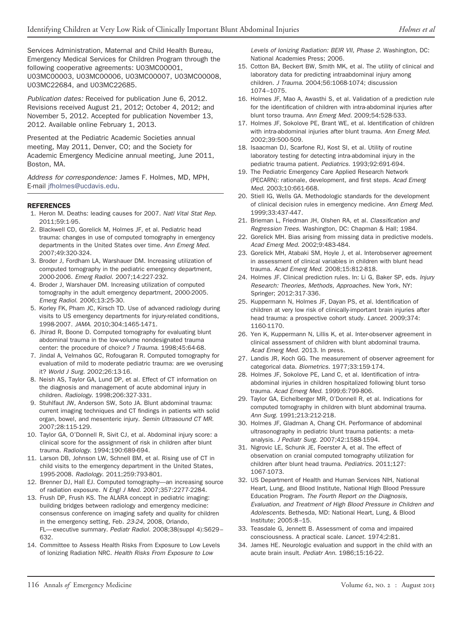Services Administration, Maternal and Child Health Bureau, Emergency Medical Services for Children Program through the following cooperative agreements: U03MC00001, U03MC00003, U03MC00006, U03MC00007, U03MC00008, U03MC22684, and U03MC22685.

*Publication dates:* Received for publication June 6, 2012. Revisions received August 21, 2012; October 4, 2012; and November 5, 2012. Accepted for publication November 13, 2012. Available online February 1, 2013.

Presented at the Pediatric Academic Societies annual meeting, May 2011, Denver, CO; and the Society for Academic Emergency Medicine annual meeting, June 2011, Boston, MA.

*Address for correspondence:* James F. Holmes, MD, MPH, E-mail [jfholmes@ucdavis.edu.](mailto:jfholmes@ucdavis.edu)

#### REFERENCES

- 1. Heron M. Deaths: leading causes for 2007. *Natl Vital Stat Rep*. 2011;59:1-95.
- 2. Blackwell CD, Gorelick M, Holmes JF, et al. Pediatric head trauma: changes in use of computed tomography in emergency departments in the United States over time. *Ann Emerg Med*. 2007;49:320-324.
- 3. Broder J, Fordham LA, Warshauer DM. Increasing utilization of computed tomography in the pediatric emergency department, 2000-2006. *Emerg Radiol*. 2007;14:227-232.
- 4. Broder J, Warshauer DM. Increasing utilization of computed tomography in the adult emergency department, 2000-2005. *Emerg Radiol*. 2006;13:25-30.
- 5. Korley FK, Pham JC, Kirsch TD. Use of advanced radiology during visits to US emergency departments for injury-related conditions, 1998-2007. *JAMA*. 2010;304:1465-1471.
- 6. Jhirad R, Boone D. Computed tomography for evaluating blunt abdominal trauma in the low-volume nondesignated trauma center: the procedure of choice? *J Trauma*. 1998;45:64-68.
- 7. Jindal A, Velmahos GC, Rofougaran R. Computed tomography for evaluation of mild to moderate pediatric trauma: are we overusing it? *World J Surg*. 2002;26:13-16.
- 8. Neish AS, Taylor GA, Lund DP, et al. Effect of CT information on the diagnosis and management of acute abdominal injury in children. *Radiology*. 1998;206:327-331.
- 9. Stuhlfaut JW, Anderson SW, Soto JA. Blunt abdominal trauma: current imaging techniques and CT findings in patients with solid organ, bowel, and mesenteric injury. *Semin Ultrasound CT MR*. 2007;28:115-129.
- 10. Taylor GA, O'Donnell R, Sivit CJ, et al. Abdominal injury score: a clinical score for the assignment of risk in children after blunt trauma. *Radiology*. 1994;190:689-694.
- 11. Larson DB, Johnson LW, Schnell BM, et al. Rising use of CT in child visits to the emergency department in the United States, 1995-2008. *Radiology*. 2011;259:793-801.
- 12. Brenner DJ, Hall EJ. Computed tomography—an increasing source of radiation exposure. *N Engl J Med*. 2007;357:2277-2284.
- 13. Frush DP, Frush KS. The ALARA concept in pediatric imaging: building bridges between radiology and emergency medicine: consensus conference on imaging safety and quality for children in the emergency setting, Feb. *23-24*, 2008, Orlando, FL— executive summary. *Pediatr Radiol.* 2008;38(suppl 4):S629 – 632.
- 14. Committee to Assess Health Risks From Exposure to Low Levels of Ionizing Radiation NRC. *Health Risks From Exposure to Low*

*Levels of Ionizing Radiation: BEIR VII, Phase 2*. Washington, DC: National Academies Press; 2006.

- 15. Cotton BA, Beckert BW, Smith MK, et al. The utility of clinical and laboratory data for predicting intraabdominal injury among children. *J Trauma*. 2004;56:1068-1074; discussion 1074 –1075.
- 16. Holmes JF, Mao A, Awasthi S, et al. Validation of a prediction rule for the identification of children with intra-abdominal injuries after blunt torso trauma. *Ann Emerg Med*. 2009;54:528-533.
- 17. Holmes JF, Sokolove PE, Brant WE, et al. Identification of children with intra-abdominal injuries after blunt trauma. *Ann Emerg Med*. 2002;39:500-509.
- 18. Isaacman DJ, Scarfone RJ, Kost SI, et al. Utility of routine laboratory testing for detecting intra-abdominal injury in the pediatric trauma patient. *Pediatrics*. 1993;92:691-694.
- 19. The Pediatric Emergency Care Applied Research Network (PECARN): rationale, development, and first steps. *Acad Emerg Med*. 2003;10:661-668.
- 20. Stiell IG, Wells GA. Methodologic standards for the development of clinical decision rules in emergency medicine. *Ann Emerg Med*. 1999;33:437-447.
- 21. Brieman L, Friedman JH, Olshen RA, et al. *Classification and Regression Trees*. Washington, DC: Chapman & Hall; 1984.
- 22. Gorelick MH. Bias arising from missing data in predictive models. *Acad Emerg Med*. 2002;9:483-484.
- 23. Gorelick MH, Atabaki SM, Hoyle J, et al. Interobserver agreement in assessment of clinical variables in children with blunt head trauma. *Acad Emerg Med*. 2008;15:812-818.
- 24. Holmes JF. Clinical prediction rules. In: Li G, Baker SP, eds. *Injury Research: Theories, Methods, Approaches*. New York, NY: Springer; 2012:317-336.
- 25. Kuppermann N, Holmes JF, Dayan PS, et al. Identification of children at very low risk of clinically-important brain injuries after head trauma: a prospective cohort study. *Lancet*. 2009;374: 1160-1170.
- 26. Yen K, Kuppermann N, Lillis K, et al. Inter-observer agreement in clinical assessment of children with blunt abdominal trauma. *Acad Emerg Med*. 2013. In press.
- 27. Landis JR, Koch GG. The measurement of observer agreement for categorical data. *Biometrics*. 1977;33:159-174.
- 28. Holmes JF, Sokolove PE, Land C, et al. Identification of intraabdominal injuries in children hospitalized following blunt torso trauma. *Acad Emerg Med*. 1999;6:799-806.
- 29. Taylor GA, Eichelberger MR, O'Donnell R, et al. Indications for computed tomography in children with blunt abdominal trauma. *Ann Surg*. 1991;213:212-218.
- 30. Holmes JF, Gladman A, Chang CH. Performance of abdominal ultrasonography in pediatric blunt trauma patients: a metaanalysis. *J Pediatr Surg*. 2007;42:1588-1594.
- 31. Nigrovic LE, Schunk JE, Foerster A, et al. The effect of observation on cranial computed tomography utilization for children after blunt head trauma. *Pediatrics*. 2011;127: 1067-1073.
- 32. US Department of Health and Human Services NIH, National Heart, Lung, and Blood Institute, National High Blood Pressure Education Program. *The Fourth Report on the Diagnosis, Evaluation, and Treatment of High Blood Pressure in Children and Adolescents*. Bethesda, MD: National Heart, Lung, & Blood Institute; 2005:8 –15.
- 33. Teasdale G, Jennett B. Assessment of coma and impaired consciousness. A practical scale. *Lancet*. 1974;2:81.
- 34. James HE. Neurologic evaluation and support in the child with an acute brain insult. *Pediatr Ann*. 1986;15:16-22.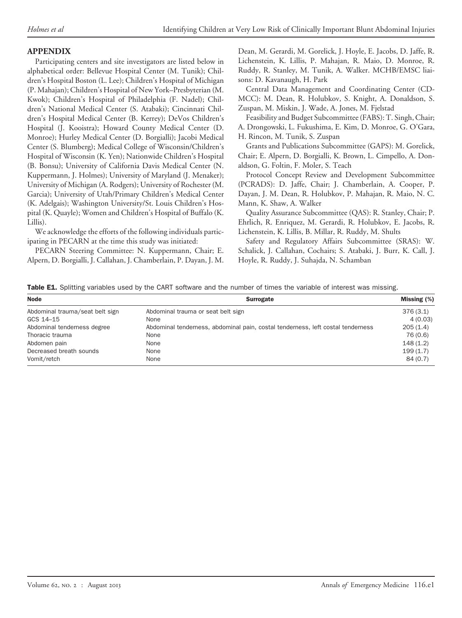# **APPENDIX**

Participating centers and site investigators are listed below in alphabetical order: Bellevue Hospital Center (M. Tunik); Children's Hospital Boston (L. Lee); Children's Hospital of Michigan (P. Mahajan); Children's Hospital of New York–Presbyterian (M. Kwok); Children's Hospital of Philadelphia (F. Nadel); Children's National Medical Center (S. Atabaki); Cincinnati Children's Hospital Medical Center (B. Kerrey); DeVos Children's Hospital (J. Kooistra); Howard County Medical Center (D. Monroe); Hurley Medical Center (D. Borgialli); Jacobi Medical Center (S. Blumberg); Medical College of Wisconsin/Children's Hospital of Wisconsin (K. Yen); Nationwide Children's Hospital (B. Bonsu); University of California Davis Medical Center (N. Kuppermann, J. Holmes); University of Maryland (J. Menaker); University of Michigan (A. Rodgers); University of Rochester (M. Garcia); University of Utah/Primary Children's Medical Center (K. Adelgais); Washington University/St. Louis Children's Hospital (K. Quayle); Women and Children's Hospital of Buffalo (K. Lillis).

We acknowledge the efforts of the following individuals participating in PECARN at the time this study was initiated:

PECARN Steering Committee: N. Kuppermann, Chair; E. Alpern, D. Borgialli, J. Callahan, J. Chamberlain, P. Dayan, J. M. Dean, M. Gerardi, M. Gorelick, J. Hoyle, E. Jacobs, D. Jaffe, R. Lichenstein, K. Lillis, P. Mahajan, R. Maio, D. Monroe, R. Ruddy, R. Stanley, M. Tunik, A. Walker. MCHB/EMSC liaisons: D. Kavanaugh, H. Park

Central Data Management and Coordinating Center (CD-MCC): M. Dean, R. Holubkov, S. Knight, A. Donaldson, S. Zuspan, M. Miskin, J. Wade, A. Jones, M. Fjelstad

Feasibility and Budget Subcommittee (FABS): T. Singh, Chair; A. Drongowski, L. Fukushima, E. Kim, D. Monroe, G. O'Gara, H. Rincon, M. Tunik, S. Zuspan

Grants and Publications Subcommittee (GAPS): M. Gorelick, Chair; E. Alpern, D. Borgialli, K. Brown, L. Cimpello, A. Donaldson, G. Foltin, F. Moler, S. Teach

Protocol Concept Review and Development Subcommittee (PCRADS): D. Jaffe, Chair; J. Chamberlain, A. Cooper, P. Dayan, J. M. Dean, R. Holubkov, P. Mahajan, R. Maio, N. C. Mann, K. Shaw, A. Walker

Quality Assurance Subcommittee (QAS): R. Stanley, Chair; P. Ehrlich, R. Enriquez, M. Gerardi, R. Holubkov, E. Jacobs, R. Lichenstein, K. Lillis, B. Millar, R. Ruddy, M. Shults

Safety and Regulatory Affairs Subcommittee (SRAS): W. Schalick, J. Callahan, Cochairs; S. Atabaki, J. Burr, K. Call, J. Hoyle, R. Ruddy, J. Suhajda, N. Schamban

Table E1. Splitting variables used by the CART software and the number of times the variable of interest was missing.

| <b>Node</b>                     | <b>Surrogate</b>                                                                | Missing $(\%)$ |
|---------------------------------|---------------------------------------------------------------------------------|----------------|
| Abdominal trauma/seat belt sign | Abdominal trauma or seat belt sign                                              | 376(3.1)       |
| GCS 14-15                       | None                                                                            | 4(0.03)        |
| Abdominal tenderness degree     | Abdominal tenderness, abdominal pain, costal tenderness, left costal tenderness | 205(1.4)       |
| Thoracic trauma                 | None                                                                            | 76 (0.6)       |
| Abdomen pain                    | None                                                                            | 148(1.2)       |
| Decreased breath sounds         | None                                                                            | 199(1.7)       |
| Vomit/retch                     | None                                                                            | 84 (0.7)       |